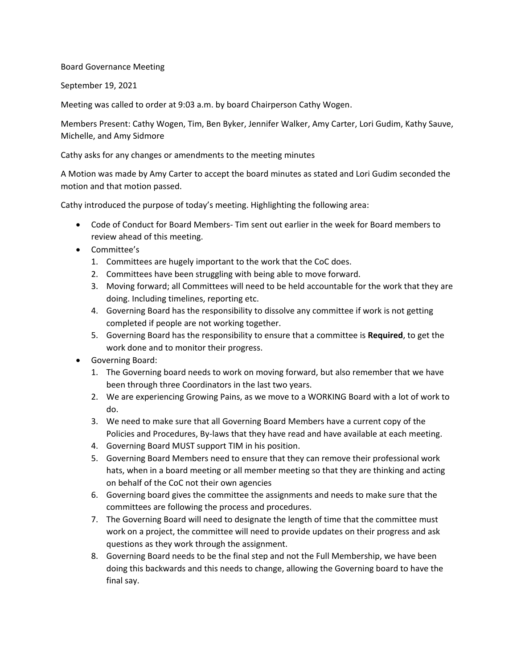## Board Governance Meeting

September 19, 2021

Meeting was called to order at 9:03 a.m. by board Chairperson Cathy Wogen.

Members Present: Cathy Wogen, Tim, Ben Byker, Jennifer Walker, Amy Carter, Lori Gudim, Kathy Sauve, Michelle, and Amy Sidmore

Cathy asks for any changes or amendments to the meeting minutes

A Motion was made by Amy Carter to accept the board minutes as stated and Lori Gudim seconded the motion and that motion passed.

Cathy introduced the purpose of today's meeting. Highlighting the following area:

- Code of Conduct for Board Members- Tim sent out earlier in the week for Board members to review ahead of this meeting.
- Committee's
	- 1. Committees are hugely important to the work that the CoC does.
	- 2. Committees have been struggling with being able to move forward.
	- 3. Moving forward; all Committees will need to be held accountable for the work that they are doing. Including timelines, reporting etc.
	- 4. Governing Board has the responsibility to dissolve any committee if work is not getting completed if people are not working together.
	- 5. Governing Board has the responsibility to ensure that a committee is **Required**, to get the work done and to monitor their progress.
- Governing Board:
	- 1. The Governing board needs to work on moving forward, but also remember that we have been through three Coordinators in the last two years.
	- 2. We are experiencing Growing Pains, as we move to a WORKING Board with a lot of work to do.
	- 3. We need to make sure that all Governing Board Members have a current copy of the Policies and Procedures, By-laws that they have read and have available at each meeting.
	- 4. Governing Board MUST support TIM in his position.
	- 5. Governing Board Members need to ensure that they can remove their professional work hats, when in a board meeting or all member meeting so that they are thinking and acting on behalf of the CoC not their own agencies
	- 6. Governing board gives the committee the assignments and needs to make sure that the committees are following the process and procedures.
	- 7. The Governing Board will need to designate the length of time that the committee must work on a project, the committee will need to provide updates on their progress and ask questions as they work through the assignment.
	- 8. Governing Board needs to be the final step and not the Full Membership, we have been doing this backwards and this needs to change, allowing the Governing board to have the final say.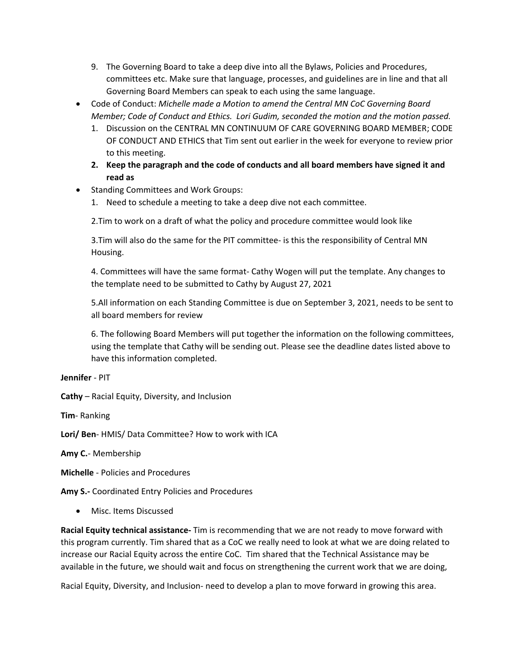- 9. The Governing Board to take a deep dive into all the Bylaws, Policies and Procedures, committees etc. Make sure that language, processes, and guidelines are in line and that all Governing Board Members can speak to each using the same language.
- Code of Conduct: *Michelle made a Motion to amend the Central MN CoC Governing Board Member; Code of Conduct and Ethics. Lori Gudim, seconded the motion and the motion passed.*
	- 1. Discussion on the CENTRAL MN CONTINUUM OF CARE GOVERNING BOARD MEMBER; CODE OF CONDUCT AND ETHICS that Tim sent out earlier in the week for everyone to review prior to this meeting.
	- **2. Keep the paragraph and the code of conducts and all board members have signed it and read as**
- Standing Committees and Work Groups:
	- 1. Need to schedule a meeting to take a deep dive not each committee.

2.Tim to work on a draft of what the policy and procedure committee would look like

3.Tim will also do the same for the PIT committee- is this the responsibility of Central MN Housing.

4. Committees will have the same format- Cathy Wogen will put the template. Any changes to the template need to be submitted to Cathy by August 27, 2021

5.All information on each Standing Committee is due on September 3, 2021, needs to be sent to all board members for review

6. The following Board Members will put together the information on the following committees, using the template that Cathy will be sending out. Please see the deadline dates listed above to have this information completed.

**Jennifer** - PIT

**Cathy** – Racial Equity, Diversity, and Inclusion

**Tim**- Ranking

**Lori/ Ben**- HMIS/ Data Committee? How to work with ICA

**Amy C.**- Membership

**Michelle** - Policies and Procedures

**Amy S.-** Coordinated Entry Policies and Procedures

• Misc. Items Discussed

**Racial Equity technical assistance-** Tim is recommending that we are not ready to move forward with this program currently. Tim shared that as a CoC we really need to look at what we are doing related to increase our Racial Equity across the entire CoC. Tim shared that the Technical Assistance may be available in the future, we should wait and focus on strengthening the current work that we are doing,

Racial Equity, Diversity, and Inclusion- need to develop a plan to move forward in growing this area.